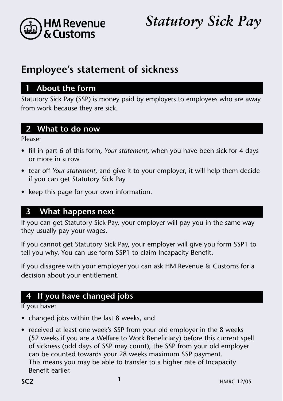

# *Statutory Sick Pay*

## **Employee's statement of sickness**

#### **1 About the form**

Statutory Sick Pay (SSP) is money paid by employers to employees who are away from work because they are sick.

## **2 What to do now**

Please:

- fill in part 6 of this form*, Your statement*, when you have been sick for 4 days or more in a row
- tear off *Your statement*, and give it to your employer, it will help them decide if you can get Statutory Sick Pay
- keep this page for your own information.

#### **3 What happens next**

If you can get Statutory Sick Pay, your employer will pay you in the same way they usually pay your wages.

If you cannot get Statutory Sick Pay, your employer will give you form SSP1 to tell you why. You can use form SSP1 to claim Incapacity Benefit.

If you disagree with your employer you can ask HM Revenue & Customs for a decision about your entitlement.

## **4 If you have changed jobs**

If you have:

- changed jobs within the last 8 weeks, and
- received at least one week's SSP from your old employer in the 8 weeks (52 weeks if you are a Welfare to Work Beneficiary) before this current spell of sickness (odd days of SSP may count), the SSP from your old employer can be counted towards your 28 weeks maximum SSP payment. This means you may be able to transfer to a higher rate of Incapacity Benefit earlier.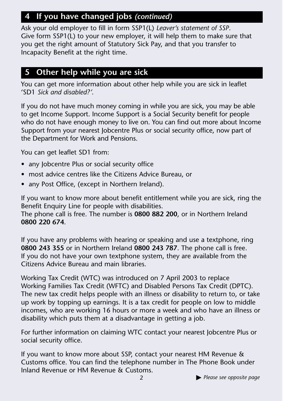## **4 If you have changed jobs** *(continued)*

Ask your old employer to fill in form SSP1(L) *Leaver's statement of SSP*. Give form SSP1(L) to your new employer, it will help them to make sure that you get the right amount of Statutory Sick Pay, and that you transfer to Incapacity Benefit at the right time.

## **5 Other help while you are sick**

You can get more information about other help while you are sick in leaflet 'SD1 *Sick and disabled?'*.

If you do not have much money coming in while you are sick, you may be able to get Income Support. Income Support is a Social Security benefit for people who do not have enough money to live on. You can find out more about Income Support from your nearest Jobcentre Plus or social security office, now part of the Department for Work and Pensions.

You can get leaflet SD1 from:

- any Jobcentre Plus or social security office
- most advice centres like the Citizens Advice Bureau, or
- any Post Office, (except in Northern Ireland).

If you want to know more about benefit entitlement while you are sick, ring the Benefit Enquiry Line for people with disabilities.

The phone call is free. The number is **0800 882 200**, or in Northern Ireland **0800 220 674**.

If you have any problems with hearing or speaking and use a textphone, ring **0800 243 355** or in Northern Ireland **0800 243 787**. The phone call is free. If you do not have your own textphone system, they are available from the Citizens Advice Bureau and main libraries.

Working Tax Credit (WTC) was introduced on 7 April 2003 to replace Working Families Tax Credit (WFTC) and Disabled Persons Tax Credit (DPTC). The new tax credit helps people with an illness or disability to return to, or take up work by topping up earnings. It is a tax credit for people on low to middle incomes, who are working 16 hours or more a week and who have an illness or disability which puts them at a disadvantage in getting a job.

For further information on claiming WTC contact your nearest Jobcentre Plus or social security office.

If you want to know more about SSP, contact your nearest HM Revenue & Customs office. You can find the telephone number in The Phone Book under Inland Revenue or HM Revenue & Customs.

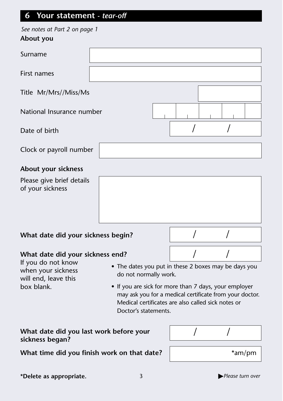## **6 Your statement** *- tear-off*

| See notes at Part 2 on page 1<br>About you                       |                                                                                                                                     |                                                         |
|------------------------------------------------------------------|-------------------------------------------------------------------------------------------------------------------------------------|---------------------------------------------------------|
| Surname                                                          |                                                                                                                                     |                                                         |
| First names                                                      |                                                                                                                                     |                                                         |
| Title Mr/Mrs//Miss/Ms                                            |                                                                                                                                     |                                                         |
| National Insurance number                                        |                                                                                                                                     |                                                         |
| Date of birth                                                    |                                                                                                                                     |                                                         |
| Clock or payroll number                                          |                                                                                                                                     |                                                         |
| About your sickness                                              |                                                                                                                                     |                                                         |
| Please give brief details<br>of your sickness                    |                                                                                                                                     |                                                         |
| What date did your sickness begin?                               |                                                                                                                                     |                                                         |
| What date did your sickness end?                                 |                                                                                                                                     |                                                         |
| If you do not know<br>when your sickness<br>will end, leave this | • The dates you put in these 2 boxes may be days you<br>do not normally work.                                                       |                                                         |
| box blank.                                                       | • If you are sick for more than 7 days, your employer<br>Medical certificates are also called sick notes or<br>Doctor's statements. | may ask you for a medical certificate from your doctor. |
| What date did you last work before your<br>sickness began?       |                                                                                                                                     |                                                         |
|                                                                  | What time did you finish work on that date?                                                                                         | *am/pm                                                  |
| *Delete as appropriate.                                          | 3                                                                                                                                   | Please turn over                                        |